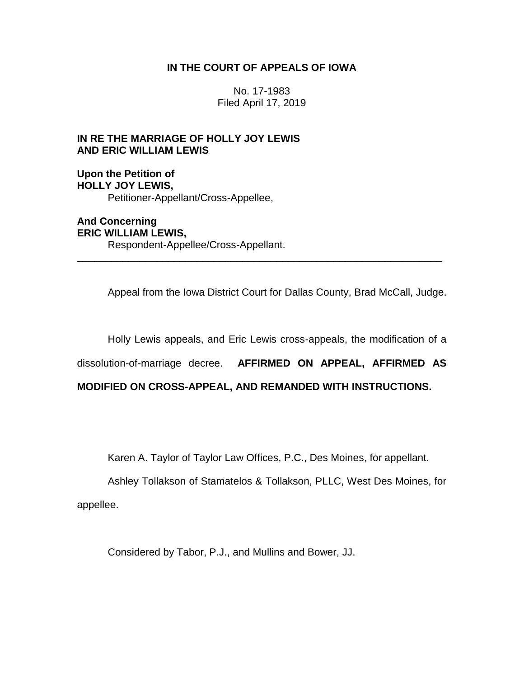# **IN THE COURT OF APPEALS OF IOWA**

No. 17-1983 Filed April 17, 2019

# **IN RE THE MARRIAGE OF HOLLY JOY LEWIS AND ERIC WILLIAM LEWIS**

**Upon the Petition of HOLLY JOY LEWIS,** Petitioner-Appellant/Cross-Appellee,

**And Concerning ERIC WILLIAM LEWIS,** Respondent-Appellee/Cross-Appellant.

Appeal from the Iowa District Court for Dallas County, Brad McCall, Judge.

Holly Lewis appeals, and Eric Lewis cross-appeals, the modification of a

dissolution-of-marriage decree. **AFFIRMED ON APPEAL, AFFIRMED AS** 

\_\_\_\_\_\_\_\_\_\_\_\_\_\_\_\_\_\_\_\_\_\_\_\_\_\_\_\_\_\_\_\_\_\_\_\_\_\_\_\_\_\_\_\_\_\_\_\_\_\_\_\_\_\_\_\_\_\_\_\_\_\_\_\_

# **MODIFIED ON CROSS-APPEAL, AND REMANDED WITH INSTRUCTIONS.**

Karen A. Taylor of Taylor Law Offices, P.C., Des Moines, for appellant.

Ashley Tollakson of Stamatelos & Tollakson, PLLC, West Des Moines, for appellee.

Considered by Tabor, P.J., and Mullins and Bower, JJ.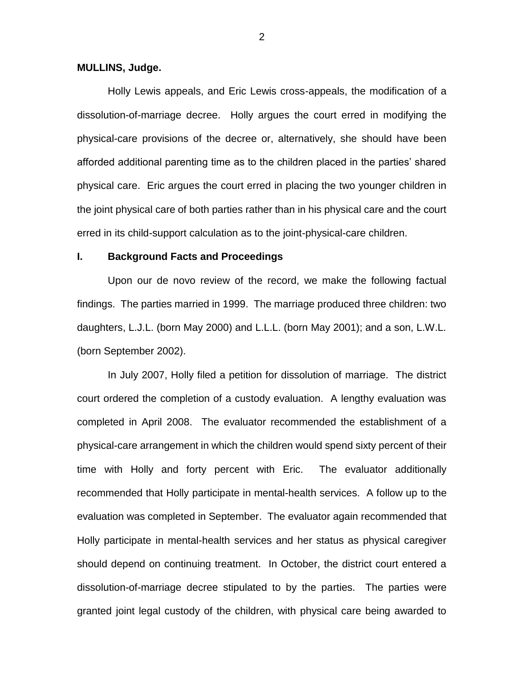#### **MULLINS, Judge.**

Holly Lewis appeals, and Eric Lewis cross-appeals, the modification of a dissolution-of-marriage decree. Holly argues the court erred in modifying the physical-care provisions of the decree or, alternatively, she should have been afforded additional parenting time as to the children placed in the parties' shared physical care. Eric argues the court erred in placing the two younger children in the joint physical care of both parties rather than in his physical care and the court erred in its child-support calculation as to the joint-physical-care children.

## **I. Background Facts and Proceedings**

Upon our de novo review of the record, we make the following factual findings. The parties married in 1999. The marriage produced three children: two daughters, L.J.L. (born May 2000) and L.L.L. (born May 2001); and a son, L.W.L. (born September 2002).

In July 2007, Holly filed a petition for dissolution of marriage. The district court ordered the completion of a custody evaluation. A lengthy evaluation was completed in April 2008. The evaluator recommended the establishment of a physical-care arrangement in which the children would spend sixty percent of their time with Holly and forty percent with Eric. The evaluator additionally recommended that Holly participate in mental-health services. A follow up to the evaluation was completed in September. The evaluator again recommended that Holly participate in mental-health services and her status as physical caregiver should depend on continuing treatment. In October, the district court entered a dissolution-of-marriage decree stipulated to by the parties. The parties were granted joint legal custody of the children, with physical care being awarded to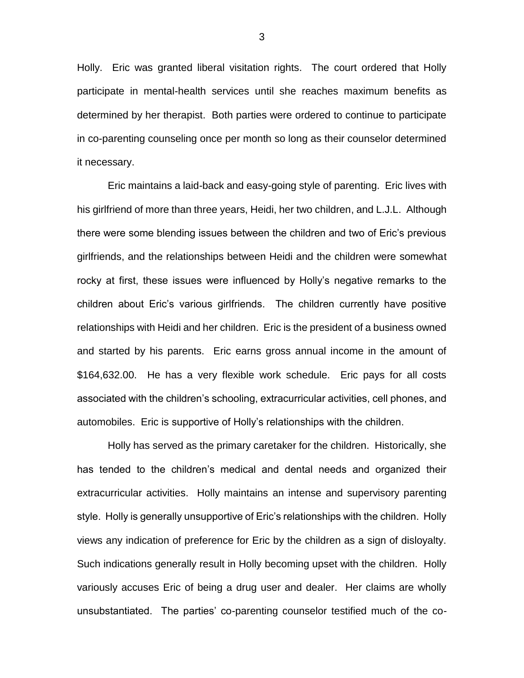Holly. Eric was granted liberal visitation rights. The court ordered that Holly participate in mental-health services until she reaches maximum benefits as determined by her therapist. Both parties were ordered to continue to participate in co-parenting counseling once per month so long as their counselor determined it necessary.

Eric maintains a laid-back and easy-going style of parenting. Eric lives with his girlfriend of more than three years, Heidi, her two children, and L.J.L. Although there were some blending issues between the children and two of Eric's previous girlfriends, and the relationships between Heidi and the children were somewhat rocky at first, these issues were influenced by Holly's negative remarks to the children about Eric's various girlfriends. The children currently have positive relationships with Heidi and her children. Eric is the president of a business owned and started by his parents. Eric earns gross annual income in the amount of \$164,632.00. He has a very flexible work schedule. Eric pays for all costs associated with the children's schooling, extracurricular activities, cell phones, and automobiles. Eric is supportive of Holly's relationships with the children.

Holly has served as the primary caretaker for the children. Historically, she has tended to the children's medical and dental needs and organized their extracurricular activities. Holly maintains an intense and supervisory parenting style. Holly is generally unsupportive of Eric's relationships with the children. Holly views any indication of preference for Eric by the children as a sign of disloyalty. Such indications generally result in Holly becoming upset with the children. Holly variously accuses Eric of being a drug user and dealer. Her claims are wholly unsubstantiated. The parties' co-parenting counselor testified much of the co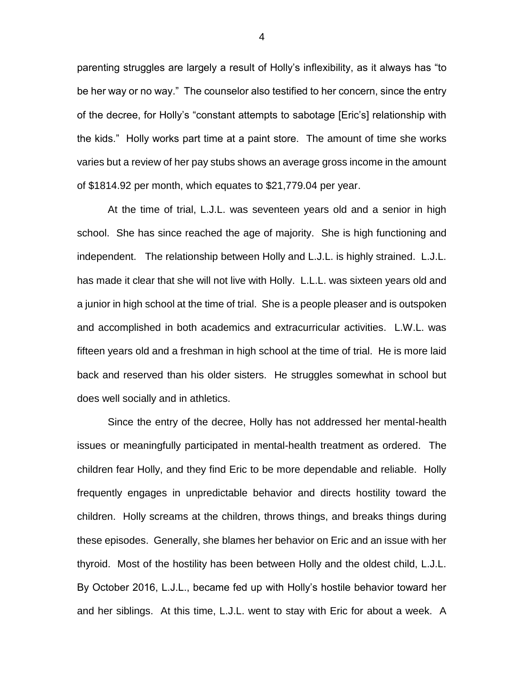parenting struggles are largely a result of Holly's inflexibility, as it always has "to be her way or no way." The counselor also testified to her concern, since the entry of the decree, for Holly's "constant attempts to sabotage [Eric's] relationship with the kids." Holly works part time at a paint store. The amount of time she works varies but a review of her pay stubs shows an average gross income in the amount of \$1814.92 per month, which equates to \$21,779.04 per year.

At the time of trial, L.J.L. was seventeen years old and a senior in high school. She has since reached the age of majority. She is high functioning and independent. The relationship between Holly and L.J.L. is highly strained. L.J.L. has made it clear that she will not live with Holly. L.L.L. was sixteen years old and a junior in high school at the time of trial. She is a people pleaser and is outspoken and accomplished in both academics and extracurricular activities. L.W.L. was fifteen years old and a freshman in high school at the time of trial. He is more laid back and reserved than his older sisters. He struggles somewhat in school but does well socially and in athletics.

Since the entry of the decree, Holly has not addressed her mental-health issues or meaningfully participated in mental-health treatment as ordered. The children fear Holly, and they find Eric to be more dependable and reliable. Holly frequently engages in unpredictable behavior and directs hostility toward the children. Holly screams at the children, throws things, and breaks things during these episodes. Generally, she blames her behavior on Eric and an issue with her thyroid. Most of the hostility has been between Holly and the oldest child, L.J.L. By October 2016, L.J.L., became fed up with Holly's hostile behavior toward her and her siblings. At this time, L.J.L. went to stay with Eric for about a week. A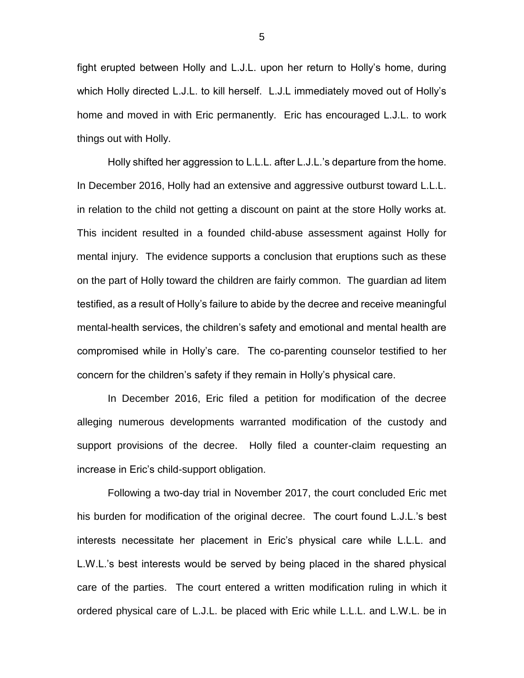fight erupted between Holly and L.J.L. upon her return to Holly's home, during which Holly directed L.J.L. to kill herself. L.J.L immediately moved out of Holly's home and moved in with Eric permanently. Eric has encouraged L.J.L. to work things out with Holly.

Holly shifted her aggression to L.L.L. after L.J.L.'s departure from the home. In December 2016, Holly had an extensive and aggressive outburst toward L.L.L. in relation to the child not getting a discount on paint at the store Holly works at. This incident resulted in a founded child-abuse assessment against Holly for mental injury. The evidence supports a conclusion that eruptions such as these on the part of Holly toward the children are fairly common. The guardian ad litem testified, as a result of Holly's failure to abide by the decree and receive meaningful mental-health services, the children's safety and emotional and mental health are compromised while in Holly's care. The co-parenting counselor testified to her concern for the children's safety if they remain in Holly's physical care.

In December 2016, Eric filed a petition for modification of the decree alleging numerous developments warranted modification of the custody and support provisions of the decree. Holly filed a counter-claim requesting an increase in Eric's child-support obligation.

Following a two-day trial in November 2017, the court concluded Eric met his burden for modification of the original decree. The court found L.J.L.'s best interests necessitate her placement in Eric's physical care while L.L.L. and L.W.L.'s best interests would be served by being placed in the shared physical care of the parties. The court entered a written modification ruling in which it ordered physical care of L.J.L. be placed with Eric while L.L.L. and L.W.L. be in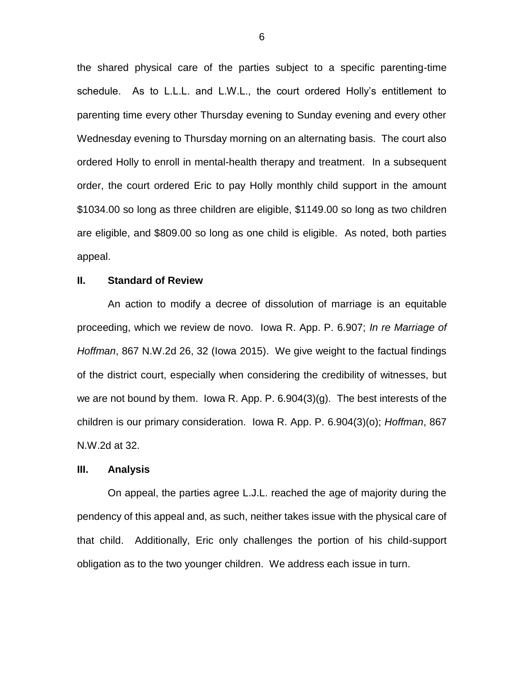the shared physical care of the parties subject to a specific parenting-time schedule. As to L.L.L. and L.W.L., the court ordered Holly's entitlement to parenting time every other Thursday evening to Sunday evening and every other Wednesday evening to Thursday morning on an alternating basis. The court also ordered Holly to enroll in mental-health therapy and treatment. In a subsequent order, the court ordered Eric to pay Holly monthly child support in the amount \$1034.00 so long as three children are eligible, \$1149.00 so long as two children are eligible, and \$809.00 so long as one child is eligible. As noted, both parties appeal.

## **II. Standard of Review**

An action to modify a decree of dissolution of marriage is an equitable proceeding, which we review de novo. Iowa R. App. P. 6.907; *In re Marriage of Hoffman*, 867 N.W.2d 26, 32 (Iowa 2015). We give weight to the factual findings of the district court, especially when considering the credibility of witnesses, but we are not bound by them. Iowa R. App. P. 6.904(3)(g). The best interests of the children is our primary consideration. Iowa R. App. P. 6.904(3)(o); *Hoffman*, 867 N.W.2d at 32.

#### **III. Analysis**

On appeal, the parties agree L.J.L. reached the age of majority during the pendency of this appeal and, as such, neither takes issue with the physical care of that child. Additionally, Eric only challenges the portion of his child-support obligation as to the two younger children. We address each issue in turn.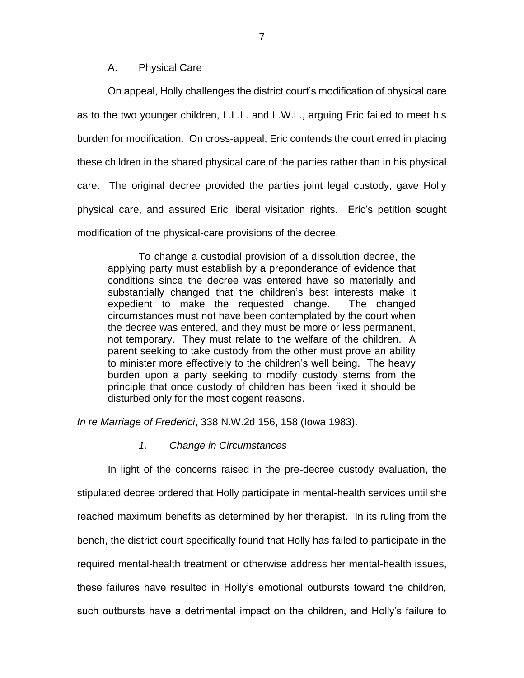## A. Physical Care

On appeal, Holly challenges the district court's modification of physical care as to the two younger children, L.L.L. and L.W.L., arguing Eric failed to meet his burden for modification. On cross-appeal, Eric contends the court erred in placing these children in the shared physical care of the parties rather than in his physical care. The original decree provided the parties joint legal custody, gave Holly physical care, and assured Eric liberal visitation rights. Eric's petition sought modification of the physical-care provisions of the decree.

To change a custodial provision of a dissolution decree, the applying party must establish by a preponderance of evidence that conditions since the decree was entered have so materially and substantially changed that the children's best interests make it expedient to make the requested change. The changed circumstances must not have been contemplated by the court when the decree was entered, and they must be more or less permanent, not temporary. They must relate to the welfare of the children. A parent seeking to take custody from the other must prove an ability to minister more effectively to the children's well being. The heavy burden upon a party seeking to modify custody stems from the principle that once custody of children has been fixed it should be disturbed only for the most cogent reasons.

*In re Marriage of Frederici*, 338 N.W.2d 156, 158 (Iowa 1983).

## *1. Change in Circumstances*

In light of the concerns raised in the pre-decree custody evaluation, the stipulated decree ordered that Holly participate in mental-health services until she reached maximum benefits as determined by her therapist. In its ruling from the bench, the district court specifically found that Holly has failed to participate in the required mental-health treatment or otherwise address her mental-health issues, these failures have resulted in Holly's emotional outbursts toward the children, such outbursts have a detrimental impact on the children, and Holly's failure to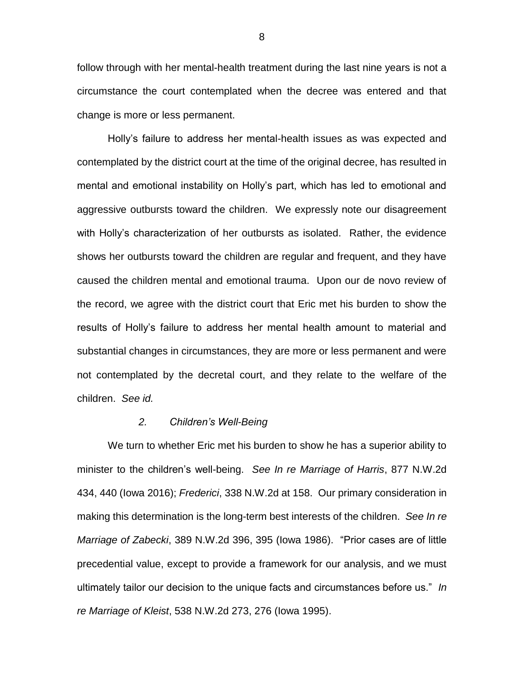follow through with her mental-health treatment during the last nine years is not a circumstance the court contemplated when the decree was entered and that change is more or less permanent.

Holly's failure to address her mental-health issues as was expected and contemplated by the district court at the time of the original decree, has resulted in mental and emotional instability on Holly's part, which has led to emotional and aggressive outbursts toward the children. We expressly note our disagreement with Holly's characterization of her outbursts as isolated. Rather, the evidence shows her outbursts toward the children are regular and frequent, and they have caused the children mental and emotional trauma. Upon our de novo review of the record, we agree with the district court that Eric met his burden to show the results of Holly's failure to address her mental health amount to material and substantial changes in circumstances, they are more or less permanent and were not contemplated by the decretal court, and they relate to the welfare of the children. *See id.* 

#### *2. Children's Well-Being*

We turn to whether Eric met his burden to show he has a superior ability to minister to the children's well-being. *See In re Marriage of Harris*, 877 N.W.2d 434, 440 (Iowa 2016); *Frederici*, 338 N.W.2d at 158. Our primary consideration in making this determination is the long-term best interests of the children. *See In re Marriage of Zabecki*, 389 N.W.2d 396, 395 (Iowa 1986). "Prior cases are of little precedential value, except to provide a framework for our analysis, and we must ultimately tailor our decision to the unique facts and circumstances before us." *In re Marriage of Kleist*, 538 N.W.2d 273, 276 (Iowa 1995).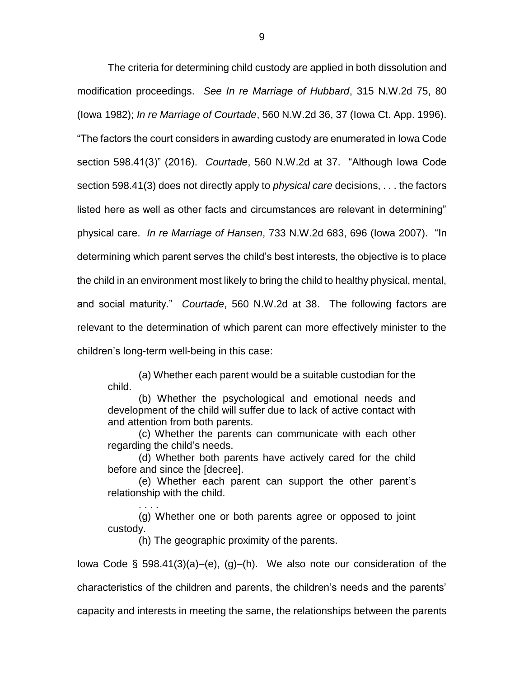The criteria for determining child custody are applied in both dissolution and modification proceedings. *See In re Marriage of Hubbard*, 315 N.W.2d 75, 80 (Iowa 1982); *In re Marriage of Courtade*, 560 N.W.2d 36, 37 (Iowa Ct. App. 1996). "The factors the court considers in awarding custody are enumerated in Iowa Code section 598.41(3)" (2016). *Courtade*, 560 N.W.2d at 37. "Although Iowa Code section 598.41(3) does not directly apply to *physical care* decisions, . . . the factors listed here as well as other facts and circumstances are relevant in determining" physical care. *In re Marriage of Hansen*, 733 N.W.2d 683, 696 (Iowa 2007). "In determining which parent serves the child's best interests, the objective is to place the child in an environment most likely to bring the child to healthy physical, mental, and social maturity." *Courtade*, 560 N.W.2d at 38. The following factors are relevant to the determination of which parent can more effectively minister to the children's long-term well-being in this case:

(a) Whether each parent would be a suitable custodian for the child.

(b) Whether the psychological and emotional needs and development of the child will suffer due to lack of active contact with and attention from both parents.

(c) Whether the parents can communicate with each other regarding the child's needs.

(d) Whether both parents have actively cared for the child before and since the [decree].

(e) Whether each parent can support the other parent's relationship with the child.

(g) Whether one or both parents agree or opposed to joint custody.

(h) The geographic proximity of the parents.

. . . .

Iowa Code  $\S$  598.41(3)(a)–(e), (g)–(h). We also note our consideration of the

characteristics of the children and parents, the children's needs and the parents'

capacity and interests in meeting the same, the relationships between the parents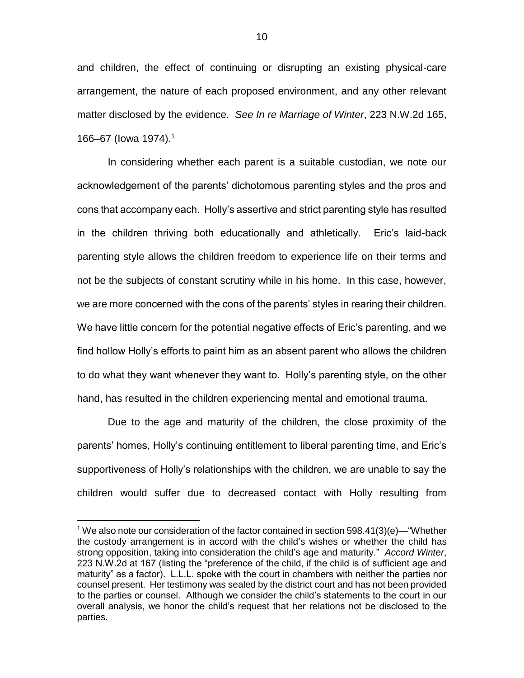and children, the effect of continuing or disrupting an existing physical-care arrangement, the nature of each proposed environment, and any other relevant matter disclosed by the evidence. *See In re Marriage of Winter*, 223 N.W.2d 165, 166–67 (Iowa 1974).<sup>1</sup>

In considering whether each parent is a suitable custodian, we note our acknowledgement of the parents' dichotomous parenting styles and the pros and cons that accompany each. Holly's assertive and strict parenting style has resulted in the children thriving both educationally and athletically. Eric's laid-back parenting style allows the children freedom to experience life on their terms and not be the subjects of constant scrutiny while in his home. In this case, however, we are more concerned with the cons of the parents' styles in rearing their children. We have little concern for the potential negative effects of Eric's parenting, and we find hollow Holly's efforts to paint him as an absent parent who allows the children to do what they want whenever they want to. Holly's parenting style, on the other hand, has resulted in the children experiencing mental and emotional trauma.

Due to the age and maturity of the children, the close proximity of the parents' homes, Holly's continuing entitlement to liberal parenting time, and Eric's supportiveness of Holly's relationships with the children, we are unable to say the children would suffer due to decreased contact with Holly resulting from

 $\overline{a}$ 

<sup>&</sup>lt;sup>1</sup> We also note our consideration of the factor contained in section 598.41(3)(e)—"Whether the custody arrangement is in accord with the child's wishes or whether the child has strong opposition, taking into consideration the child's age and maturity." *Accord Winter*, 223 N.W.2d at 167 (listing the "preference of the child, if the child is of sufficient age and maturity" as a factor). L.L.L. spoke with the court in chambers with neither the parties nor counsel present. Her testimony was sealed by the district court and has not been provided to the parties or counsel. Although we consider the child's statements to the court in our overall analysis, we honor the child's request that her relations not be disclosed to the parties.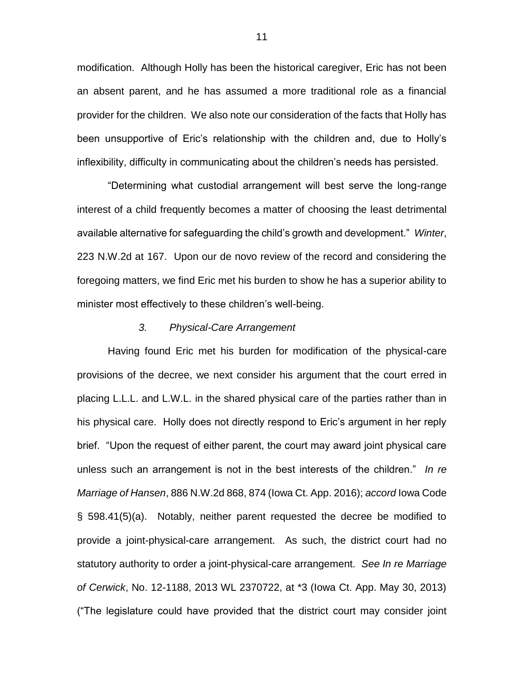modification. Although Holly has been the historical caregiver, Eric has not been an absent parent, and he has assumed a more traditional role as a financial provider for the children. We also note our consideration of the facts that Holly has been unsupportive of Eric's relationship with the children and, due to Holly's inflexibility, difficulty in communicating about the children's needs has persisted.

"Determining what custodial arrangement will best serve the long-range interest of a child frequently becomes a matter of choosing the least detrimental available alternative for safeguarding the child's growth and development." *Winter*, 223 N.W.2d at 167. Upon our de novo review of the record and considering the foregoing matters, we find Eric met his burden to show he has a superior ability to minister most effectively to these children's well-being.

#### *3. Physical-Care Arrangement*

Having found Eric met his burden for modification of the physical-care provisions of the decree, we next consider his argument that the court erred in placing L.L.L. and L.W.L. in the shared physical care of the parties rather than in his physical care. Holly does not directly respond to Eric's argument in her reply brief. "Upon the request of either parent, the court may award joint physical care unless such an arrangement is not in the best interests of the children." *In re Marriage of Hansen*, 886 N.W.2d 868, 874 (Iowa Ct. App. 2016); *accord* Iowa Code § 598.41(5)(a). Notably, neither parent requested the decree be modified to provide a joint-physical-care arrangement. As such, the district court had no statutory authority to order a joint-physical-care arrangement. *See In re Marriage of Cerwick*, No. 12-1188, 2013 WL 2370722, at \*3 (Iowa Ct. App. May 30, 2013) ("The legislature could have provided that the district court may consider joint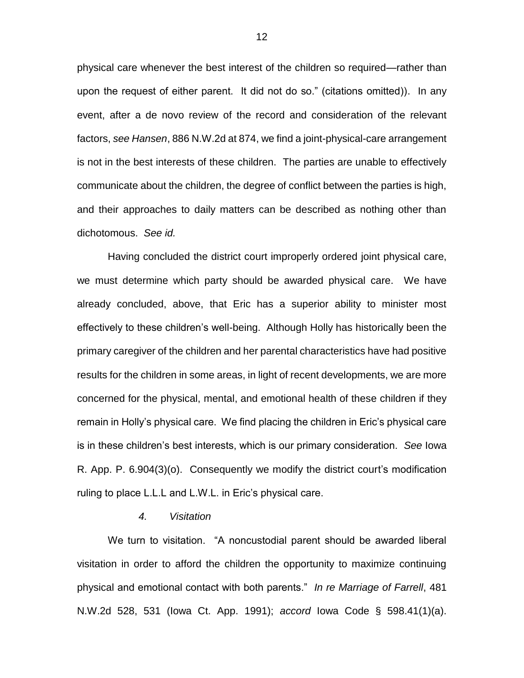physical care whenever the best interest of the children so required—rather than upon the request of either parent. It did not do so." (citations omitted)). In any event, after a de novo review of the record and consideration of the relevant factors, *see Hansen*, 886 N.W.2d at 874, we find a joint-physical-care arrangement is not in the best interests of these children. The parties are unable to effectively communicate about the children, the degree of conflict between the parties is high, and their approaches to daily matters can be described as nothing other than dichotomous. *See id.*

Having concluded the district court improperly ordered joint physical care, we must determine which party should be awarded physical care. We have already concluded, above, that Eric has a superior ability to minister most effectively to these children's well-being. Although Holly has historically been the primary caregiver of the children and her parental characteristics have had positive results for the children in some areas, in light of recent developments, we are more concerned for the physical, mental, and emotional health of these children if they remain in Holly's physical care. We find placing the children in Eric's physical care is in these children's best interests, which is our primary consideration. *See* Iowa R. App. P. 6.904(3)(o). Consequently we modify the district court's modification ruling to place L.L.L and L.W.L. in Eric's physical care.

### *4. Visitation*

We turn to visitation. "A noncustodial parent should be awarded liberal visitation in order to afford the children the opportunity to maximize continuing physical and emotional contact with both parents." *In re Marriage of Farrell*, 481 N.W.2d 528, 531 (Iowa Ct. App. 1991); *accord* Iowa Code § 598.41(1)(a).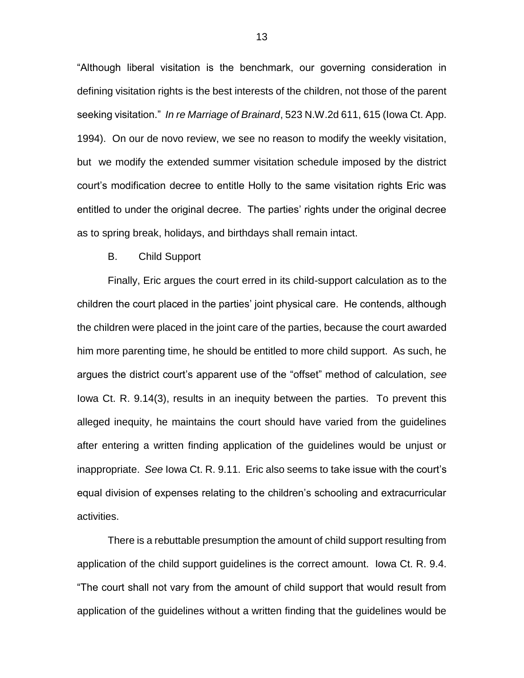"Although liberal visitation is the benchmark, our governing consideration in defining visitation rights is the best interests of the children, not those of the parent seeking visitation." *In re Marriage of Brainard*, 523 N.W.2d 611, 615 (Iowa Ct. App. 1994). On our de novo review, we see no reason to modify the weekly visitation, but we modify the extended summer visitation schedule imposed by the district court's modification decree to entitle Holly to the same visitation rights Eric was entitled to under the original decree. The parties' rights under the original decree as to spring break, holidays, and birthdays shall remain intact.

#### B. Child Support

Finally, Eric argues the court erred in its child-support calculation as to the children the court placed in the parties' joint physical care. He contends, although the children were placed in the joint care of the parties, because the court awarded him more parenting time, he should be entitled to more child support. As such, he argues the district court's apparent use of the "offset" method of calculation, *see*  Iowa Ct. R. 9.14(3), results in an inequity between the parties. To prevent this alleged inequity, he maintains the court should have varied from the guidelines after entering a written finding application of the guidelines would be unjust or inappropriate. *See* Iowa Ct. R. 9.11. Eric also seems to take issue with the court's equal division of expenses relating to the children's schooling and extracurricular activities.

There is a rebuttable presumption the amount of child support resulting from application of the child support guidelines is the correct amount. Iowa Ct. R. 9.4. "The court shall not vary from the amount of child support that would result from application of the guidelines without a written finding that the guidelines would be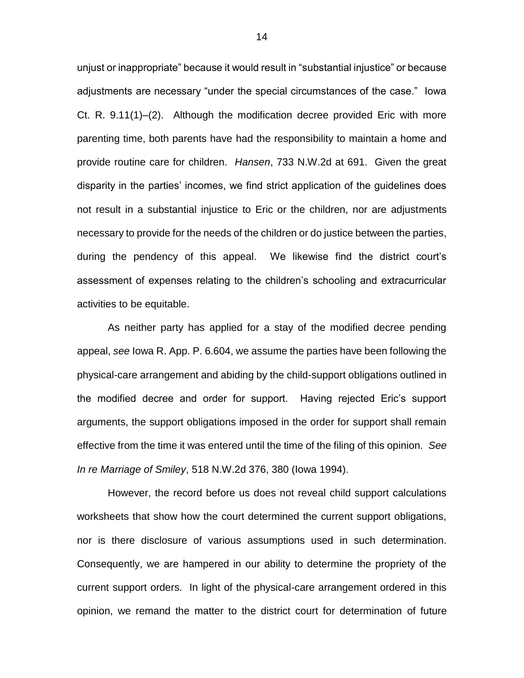unjust or inappropriate" because it would result in "substantial injustice" or because adjustments are necessary "under the special circumstances of the case." Iowa Ct. R. 9.11(1)–(2). Although the modification decree provided Eric with more parenting time, both parents have had the responsibility to maintain a home and provide routine care for children. *Hansen*, 733 N.W.2d at 691. Given the great disparity in the parties' incomes, we find strict application of the guidelines does not result in a substantial injustice to Eric or the children, nor are adjustments necessary to provide for the needs of the children or do justice between the parties, during the pendency of this appeal. We likewise find the district court's assessment of expenses relating to the children's schooling and extracurricular activities to be equitable.

As neither party has applied for a stay of the modified decree pending appeal, *see* Iowa R. App. P. 6.604, we assume the parties have been following the physical-care arrangement and abiding by the child-support obligations outlined in the modified decree and order for support. Having rejected Eric's support arguments, the support obligations imposed in the order for support shall remain effective from the time it was entered until the time of the filing of this opinion. *See In re Marriage of Smiley*, 518 N.W.2d 376, 380 (Iowa 1994).

However, the record before us does not reveal child support calculations worksheets that show how the court determined the current support obligations, nor is there disclosure of various assumptions used in such determination. Consequently, we are hampered in our ability to determine the propriety of the current support orders. In light of the physical-care arrangement ordered in this opinion, we remand the matter to the district court for determination of future